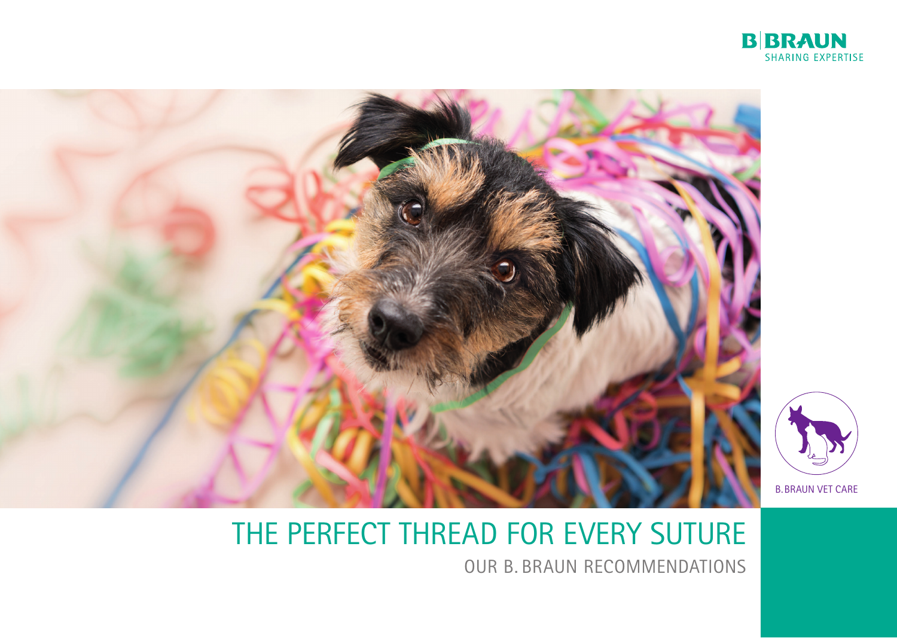

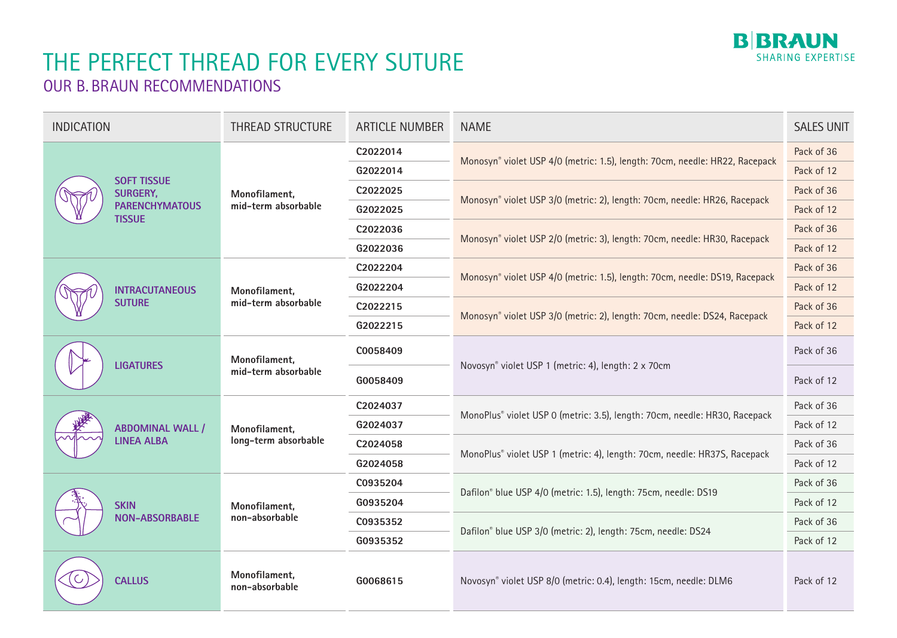

| <b>INDICATION</b>                                                               | <b>THREAD STRUCTURE</b>               | <b>ARTICLE NUMBER</b> | <b>NAME</b>                                                                 | <b>SALES UNIT</b> |
|---------------------------------------------------------------------------------|---------------------------------------|-----------------------|-----------------------------------------------------------------------------|-------------------|
| <b>SOFT TISSUE</b><br><b>SURGERY,</b><br><b>PARENCHYMATOUS</b><br><b>TISSUE</b> | Monofilament,<br>mid-term absorbable  | C2022014              |                                                                             | Pack of 36        |
|                                                                                 |                                       | G2022014              | Monosyn® violet USP 4/0 (metric: 1.5), length: 70cm, needle: HR22, Racepack | Pack of 12        |
|                                                                                 |                                       | C2022025              |                                                                             | Pack of 36        |
|                                                                                 |                                       | G2022025              | Monosyn® violet USP 3/0 (metric: 2), length: 70cm, needle: HR26, Racepack   | Pack of 12        |
|                                                                                 |                                       | C2022036              |                                                                             | Pack of 36        |
|                                                                                 |                                       | G2022036              | Monosyn® violet USP 2/0 (metric: 3), length: 70cm, needle: HR30, Racepack   | Pack of 12        |
|                                                                                 | Monofilament,<br>mid-term absorbable  | C2022204              |                                                                             | Pack of 36        |
| <b>INTRACUTANEOUS</b><br><b>SUTURE</b>                                          |                                       | G2022204              | Monosyn® violet USP 4/0 (metric: 1.5), length: 70cm, needle: DS19, Racepack | Pack of 12        |
|                                                                                 |                                       | C2022215              | Monosyn® violet USP 3/0 (metric: 2), length: 70cm, needle: DS24, Racepack   | Pack of 36        |
|                                                                                 |                                       | G2022215              |                                                                             | Pack of 12        |
| <b>LIGATURES</b>                                                                | Monofilament,<br>mid-term absorbable  | C0058409              |                                                                             | Pack of 36        |
|                                                                                 |                                       | G0058409              | Novosyn® violet USP 1 (metric: 4), length: 2 x 70cm                         | Pack of 12        |
| <b>ABDOMINAL WALL /</b><br><b>LINEA ALBA</b>                                    | Monofilament,<br>long-term absorbable | C2024037              |                                                                             | Pack of 36        |
|                                                                                 |                                       | G2024037              | MonoPlus® violet USP 0 (metric: 3.5), length: 70cm, needle: HR30, Racepack  | Pack of 12        |
|                                                                                 |                                       | C2024058              |                                                                             | Pack of 36        |
|                                                                                 |                                       | G2024058              | MonoPlus® violet USP 1 (metric: 4), length: 70cm, needle: HR37S, Racepack   | Pack of 12        |
| <b>SKIN</b><br><b>NON-ABSORBABLE</b>                                            | Monofilament,<br>non-absorbable       | C0935204              |                                                                             | Pack of 36        |
|                                                                                 |                                       | G0935204              | Dafilon® blue USP 4/0 (metric: 1.5), length: 75cm, needle: DS19             | Pack of 12        |
|                                                                                 |                                       | C0935352              |                                                                             | Pack of 36        |
|                                                                                 |                                       | G0935352              | Dafilon® blue USP 3/0 (metric: 2), length: 75cm, needle: DS24               | Pack of 12        |
| <b>CALLUS</b>                                                                   | Monofilament,<br>non-absorbable       | G0068615              | Novosyn® violet USP 8/0 (metric: 0.4), length: 15cm, needle: DLM6           | Pack of 12        |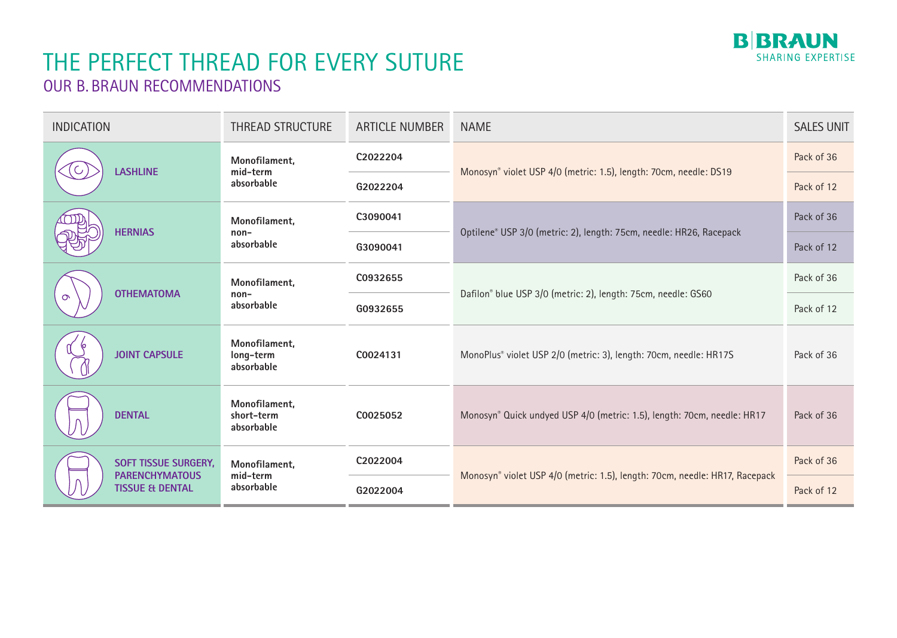

| <b>INDICATION</b>                                                                  | <b>THREAD STRUCTURE</b>                   | <b>ARTICLE NUMBER</b>                                                         | <b>NAME</b>                                                                 | <b>SALES UNIT</b> |
|------------------------------------------------------------------------------------|-------------------------------------------|-------------------------------------------------------------------------------|-----------------------------------------------------------------------------|-------------------|
| <b>LASHLINE</b>                                                                    | Monofilament,<br>mid-term<br>absorbable   | C2022204                                                                      |                                                                             | Pack of 36        |
|                                                                                    |                                           | G2022204                                                                      | Monosyn® violet USP 4/0 (metric: 1.5), length: 70cm, needle: DS19           | Pack of 12        |
| <b>HERNIAS</b>                                                                     | Monofilament,<br>$non-$<br>absorbable     | C3090041                                                                      |                                                                             | Pack of 36        |
|                                                                                    |                                           | G3090041                                                                      | Optilene® USP 3/0 (metric: 2), length: 75cm, needle: HR26, Racepack         | Pack of 12        |
| <b>OTHEMATOMA</b><br>$\sigma$                                                      | Monofilament,<br>$non-$<br>absorbable     | C0932655                                                                      |                                                                             | Pack of 36        |
|                                                                                    |                                           | G0932655                                                                      | Dafilon® blue USP 3/0 (metric: 2), length: 75cm, needle: GS60               | Pack of 12        |
| <b>JOINT CAPSULE</b>                                                               | Monofilament,<br>long-term<br>absorbable  | MonoPlus® violet USP 2/0 (metric: 3), length: 70cm, needle: HR17S<br>C0024131 |                                                                             | Pack of 36        |
| <b>DENTAL</b>                                                                      | Monofilament,<br>short-term<br>absorbable | C0025052                                                                      | Monosyn® Quick undyed USP 4/0 (metric: 1.5), length: 70cm, needle: HR17     | Pack of 36        |
| <b>SOFT TISSUE SURGERY,</b><br><b>PARENCHYMATOUS</b><br><b>TISSUE &amp; DENTAL</b> | Monofilament,<br>mid-term<br>absorbable   | C2022004                                                                      | Monosyn® violet USP 4/0 (metric: 1.5), length: 70cm, needle: HR17, Racepack | Pack of 36        |
|                                                                                    |                                           | G2022004                                                                      |                                                                             | Pack of 12        |